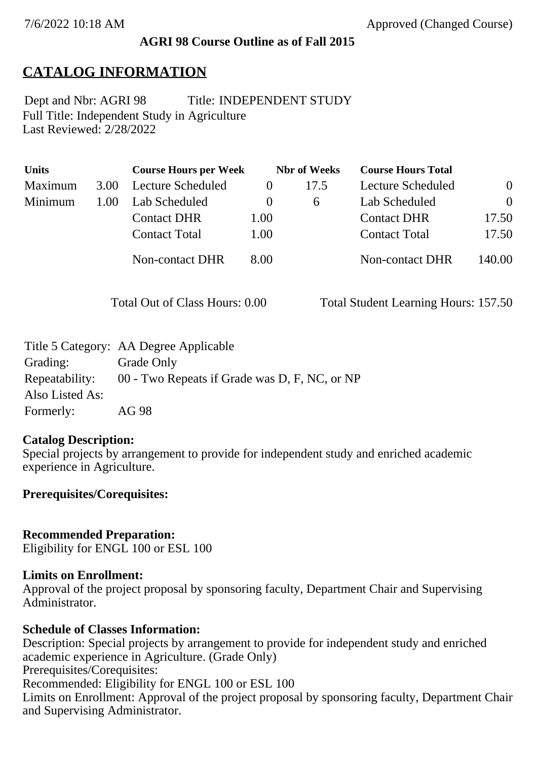#### **AGRI 98 Course Outline as of Fall 2015**

# **CATALOG INFORMATION**

Full Title: Independent Study in Agriculture Last Reviewed: 2/28/2022 Dept and Nbr: AGRI 98 Title: INDEPENDENT STUDY

| <b>Units</b> |      | <b>Course Hours per Week</b> |          | <b>Nbr</b> of Weeks | <b>Course Hours Total</b> |          |
|--------------|------|------------------------------|----------|---------------------|---------------------------|----------|
| Maximum      | 3.00 | Lecture Scheduled            | $\theta$ | 17.5                | Lecture Scheduled         | $\theta$ |
| Minimum      | 1.00 | Lab Scheduled                | $\theta$ | $\sigma$            | Lab Scheduled             | $\theta$ |
|              |      | <b>Contact DHR</b>           | 1.00     |                     | <b>Contact DHR</b>        | 17.50    |
|              |      | <b>Contact Total</b>         | 1.00     |                     | <b>Contact Total</b>      | 17.50    |
|              |      | <b>Non-contact DHR</b>       | 8.00     |                     | <b>Non-contact DHR</b>    | 140.00   |

Total Out of Class Hours: 0.00 Total Student Learning Hours: 157.50

| Title 5 Category: AA Degree Applicable        |
|-----------------------------------------------|
| Grade Only                                    |
| 00 - Two Repeats if Grade was D, F, NC, or NP |
|                                               |
| AG 98                                         |
|                                               |

#### **Catalog Description:**

Special projects by arrangement to provide for independent study and enriched academic experience in Agriculture.

#### **Prerequisites/Corequisites:**

**Recommended Preparation:** Eligibility for ENGL 100 or ESL 100

### **Limits on Enrollment:**

Approval of the project proposal by sponsoring faculty, Department Chair and Supervising Administrator.

### **Schedule of Classes Information:**

Description: Special projects by arrangement to provide for independent study and enriched academic experience in Agriculture. (Grade Only) Prerequisites/Corequisites: Recommended: Eligibility for ENGL 100 or ESL 100 Limits on Enrollment: Approval of the project proposal by sponsoring faculty, Department Chair and Supervising Administrator.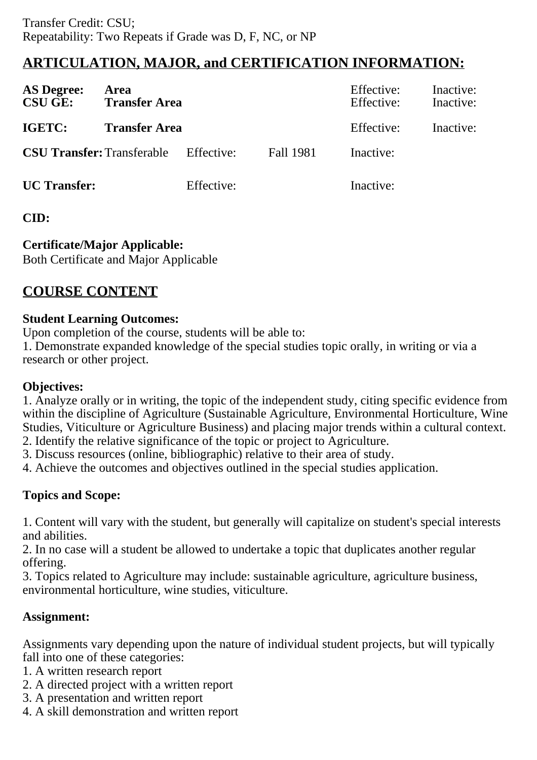# **ARTICULATION, MAJOR, and CERTIFICATION INFORMATION:**

| <b>AS Degree:</b><br><b>CSU GE:</b> | Area<br><b>Transfer Area</b> |            |                  | Effective:<br>Effective: | Inactive:<br>Inactive: |
|-------------------------------------|------------------------------|------------|------------------|--------------------------|------------------------|
| <b>IGETC:</b>                       | <b>Transfer Area</b>         |            |                  | Effective:               | Inactive:              |
| <b>CSU Transfer: Transferable</b>   |                              | Effective: | <b>Fall 1981</b> | Inactive:                |                        |
| <b>UC</b> Transfer:                 |                              | Effective: |                  | Inactive:                |                        |

# **CID:**

# **Certificate/Major Applicable:**

[Both Certificate and Major Applicable](SR_ClassCheck.aspx?CourseKey=AGRI98)

# **COURSE CONTENT**

### **Student Learning Outcomes:**

Upon completion of the course, students will be able to:

1. Demonstrate expanded knowledge of the special studies topic orally, in writing or via a research or other project.

# **Objectives:**

1. Analyze orally or in writing, the topic of the independent study, citing specific evidence from within the discipline of Agriculture (Sustainable Agriculture, Environmental Horticulture, Wine Studies, Viticulture or Agriculture Business) and placing major trends within a cultural context. 2. Identify the relative significance of the topic or project to Agriculture.

3. Discuss resources (online, bibliographic) relative to their area of study.

4. Achieve the outcomes and objectives outlined in the special studies application.

# **Topics and Scope:**

1. Content will vary with the student, but generally will capitalize on student's special interests and abilities.

2. In no case will a student be allowed to undertake a topic that duplicates another regular offering.

3. Topics related to Agriculture may include: sustainable agriculture, agriculture business, environmental horticulture, wine studies, viticulture.

# **Assignment:**

Assignments vary depending upon the nature of individual student projects, but will typically fall into one of these categories:

- 1. A written research report
- 2. A directed project with a written report
- 3. A presentation and written report
- 4. A skill demonstration and written report